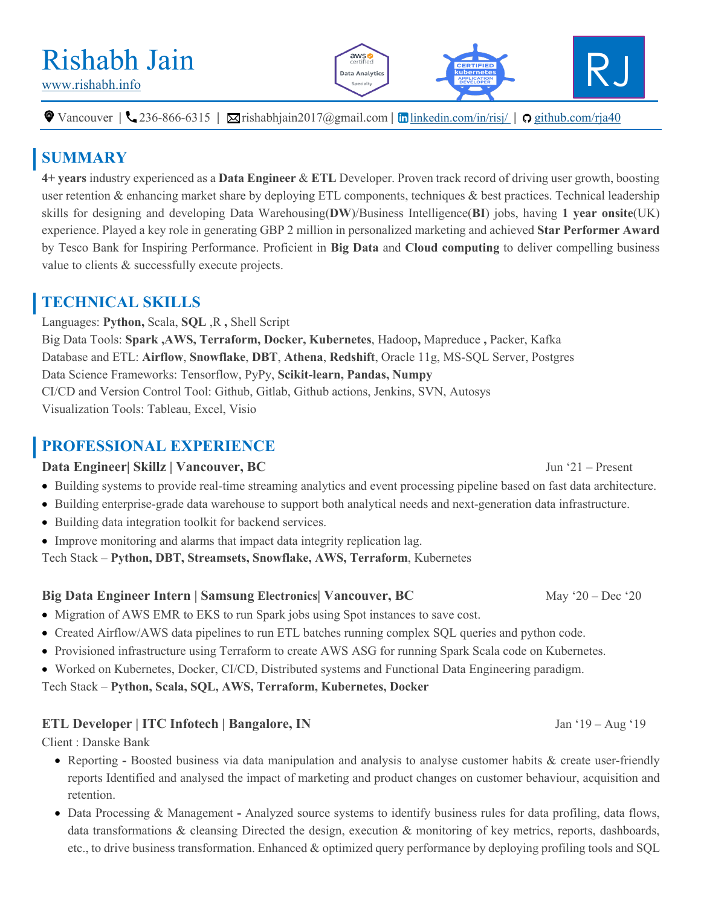# Rishabh Jain

 $\bullet$  Vancouver |  $\bullet$  236-866-6315 |  $\boxtimes$ rishabhjain2017@gmail.com | **in** linkedin.com/in/risj/ |  $\circ$  github.com/rja40

## **SUMMARY**

**4+ years** industry experienced as a **Data Engineer** & **ETL** Developer. Proven track record of driving user growth, boosting user retention & enhancing market share by deploying ETL components, techniques & best practices. Technical leadership skills for designing and developing Data Warehousing(**DW**)/Business Intelligence(**BI**) jobs, having **1 year onsite**(UK) experience. Played a key role in generating GBP 2 million in personalized marketing and achieved **Star Performer Award** by Tesco Bank for Inspiring Performance. Proficient in **Big Data** and **Cloud computing** to deliver compelling business value to clients & successfully execute projects.

### **TECHNICAL SKILLS**

Languages: **Python,** Scala, **SQL** ,R **,** Shell Script Big Data Tools: **Spark ,AWS, Terraform, Docker, Kubernetes**, Hadoop**,** Mapreduce **,** Packer, Kafka Database and ETL: **Airflow**, **Snowflake**, **DBT**, **Athena**, **Redshift**, Oracle 11g, MS-SQL Server, Postgres Data Science Frameworks: Tensorflow, PyPy, **Scikit-learn, Pandas, Numpy** CI/CD and Version Control Tool: Github, Gitlab, Github actions, Jenkins, SVN, Autosys Visualization Tools: Tableau, Excel, Visio

## **PROFESSIONAL EXPERIENCE**

#### **Data Engineer| Skillz | Vancouver, BC** Jun '21 – Present

- Building systems to provide real-time streaming analytics and event processing pipeline based on fast data architecture.
- Building enterprise-grade data warehouse to support both analytical needs and next-generation data infrastructure.
- Building data integration toolkit for backend services.
- Improve monitoring and alarms that impact data integrity replication lag.

#### Tech Stack – **Python, DBT, Streamsets, Snowflake, AWS, Terraform**, Kubernetes

#### **Big Data Engineer Intern | Samsung Electronics| Vancouver, BC May '20 – Dec '20 May '20 – Dec '20 May '20 – Dec '20 May '20 – Dec '20 May '20 – Dec '20 May '20 – Dec '20 May '20 – Dec '20 May '20 – Dec '20 May '20 – Dec '**

- Migration of AWS EMR to EKS to run Spark jobs using Spot instances to save cost.
- Created Airflow/AWS data pipelines to run ETL batches running complex SQL queries and python code.
- Provisioned infrastructure using Terraform to create AWS ASG for running Spark Scala code on Kubernetes.
- Worked on Kubernetes, Docker, CI/CD, Distributed systems and Functional Data Engineering paradigm.

Tech Stack – **Python, Scala, SQL, AWS, Terraform, Kubernetes, Docker**

#### **ETL Developer** | **ITC Infotech | Bangalore, IN** Jan '19 – Aug '19

Client : Danske Bank

- Reporting **-** Boosted business via data manipulation and analysis to analyse customer habits & create user-friendly reports Identified and analysed the impact of marketing and product changes on customer behaviour, acquisition and retention.
- Data Processing & Management **-** Analyzed source systems to identify business rules for data profiling, data flows, data transformations & cleansing Directed the design, execution & monitoring of key metrics, reports, dashboards, etc., to drive business transformation. Enhanced & optimized query performance by deploying profiling tools and SQL

 $aws$ .<br>Data Analytics